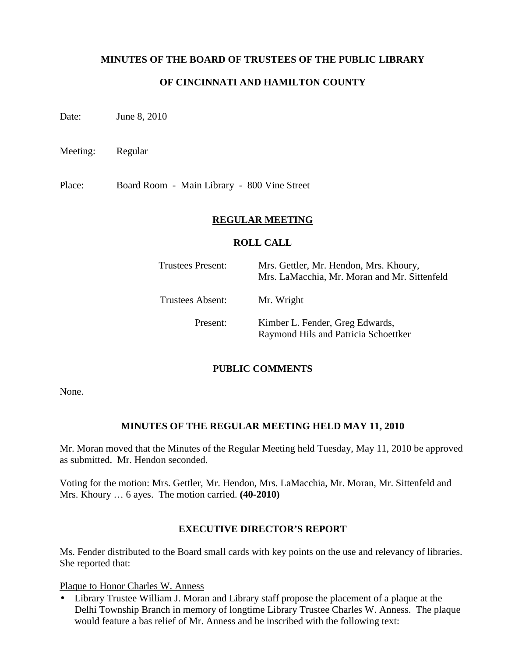### **MINUTES OF THE BOARD OF TRUSTEES OF THE PUBLIC LIBRARY**

### **OF CINCINNATI AND HAMILTON COUNTY**

Date: **June 8, 2010** 

Meeting: Regular

Place: Board Room - Main Library - 800 Vine Street

#### **REGULAR MEETING**

#### **ROLL CALL**

| Trustees Present: | Mrs. Gettler, Mr. Hendon, Mrs. Khoury,<br>Mrs. LaMacchia, Mr. Moran and Mr. Sittenfeld |
|-------------------|----------------------------------------------------------------------------------------|
| Trustees Absent:  | Mr. Wright                                                                             |
| Present:          | Kimber L. Fender, Greg Edwards,<br>Raymond Hils and Patricia Schoettker                |

#### **PUBLIC COMMENTS**

None.

#### **MINUTES OF THE REGULAR MEETING HELD MAY 11, 2010**

Mr. Moran moved that the Minutes of the Regular Meeting held Tuesday, May 11, 2010 be approved as submitted. Mr. Hendon seconded.

Voting for the motion: Mrs. Gettler, Mr. Hendon, Mrs. LaMacchia, Mr. Moran, Mr. Sittenfeld and Mrs. Khoury … 6 ayes. The motion carried. **(40-2010)**

#### **EXECUTIVE DIRECTOR'S REPORT**

Ms. Fender distributed to the Board small cards with key points on the use and relevancy of libraries. She reported that:

Plaque to Honor Charles W. Anness

• Library Trustee William J. Moran and Library staff propose the placement of a plaque at the Delhi Township Branch in memory of longtime Library Trustee Charles W. Anness. The plaque would feature a bas relief of Mr. Anness and be inscribed with the following text: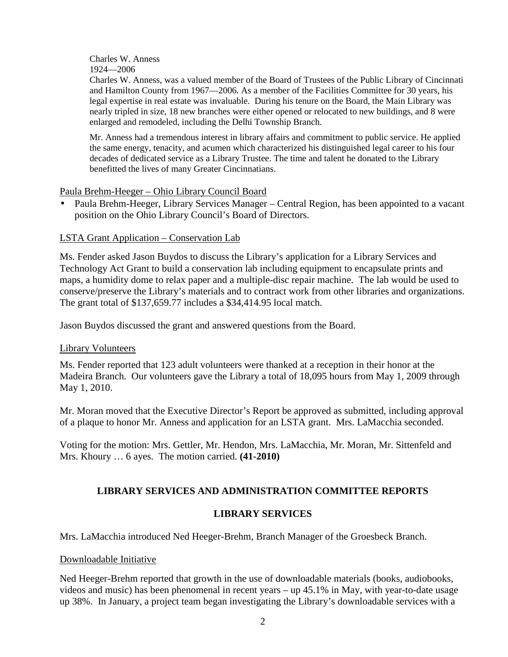### Charles W. Anness 1924—2006

Charles W. Anness, was a valued member of the Board of Trustees of the Public Library of Cincinnati and Hamilton County from 1967—2006. As a member of the Facilities Committee for 30 years, his legal expertise in real estate was invaluable. During his tenure on the Board, the Main Library was nearly tripled in size, 18 new branches were either opened or relocated to new buildings, and 8 were enlarged and remodeled, including the Delhi Township Branch.

Mr. Anness had a tremendous interest in library affairs and commitment to public service. He applied the same energy, tenacity, and acumen which characterized his distinguished legal career to his four decades of dedicated service as a Library Trustee. The time and talent he donated to the Library benefitted the lives of many Greater Cincinnatians.

#### Paula Brehm-Heeger – Ohio Library Council Board

• Paula Brehm-Heeger, Library Services Manager – Central Region, has been appointed to a vacant position on the Ohio Library Council's Board of Directors.

### LSTA Grant Application – Conservation Lab

Ms. Fender asked Jason Buydos to discuss the Library's application for a Library Services and Technology Act Grant to build a conservation lab including equipment to encapsulate prints and maps, a humidity dome to relax paper and a multiple-disc repair machine. The lab would be used to conserve/preserve the Library's materials and to contract work from other libraries and organizations. The grant total of \$137,659.77 includes a \$34,414.95 local match.

Jason Buydos discussed the grant and answered questions from the Board.

#### Library Volunteers

Ms. Fender reported that 123 adult volunteers were thanked at a reception in their honor at the Madeira Branch. Our volunteers gave the Library a total of 18,095 hours from May 1, 2009 through May 1, 2010.

Mr. Moran moved that the Executive Director's Report be approved as submitted, including approval of a plaque to honor Mr. Anness and application for an LSTA grant. Mrs. LaMacchia seconded.

Voting for the motion: Mrs. Gettler, Mr. Hendon, Mrs. LaMacchia, Mr. Moran, Mr. Sittenfeld and Mrs. Khoury … 6 ayes. The motion carried. **(41-2010)**

## **LIBRARY SERVICES AND ADMINISTRATION COMMITTEE REPORTS**

## **LIBRARY SERVICES**

Mrs. LaMacchia introduced Ned Heeger-Brehm, Branch Manager of the Groesbeck Branch.

#### Downloadable Initiative

Ned Heeger-Brehm reported that growth in the use of downloadable materials (books, audiobooks, videos and music) has been phenomenal in recent years – up 45.1% in May, with year-to-date usage up 38%. In January, a project team began investigating the Library's downloadable services with a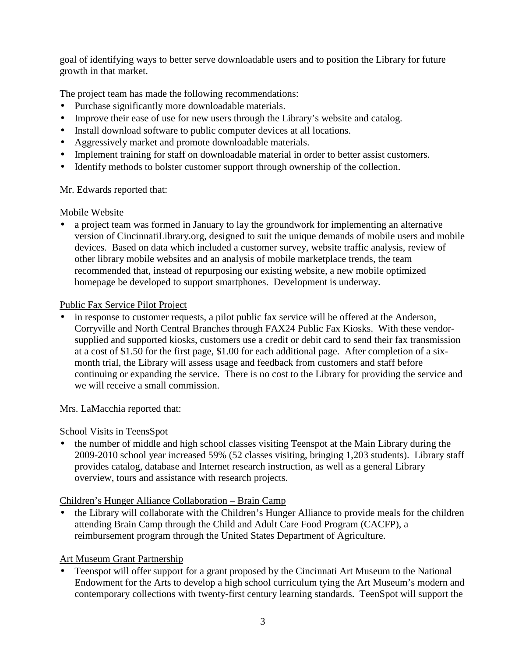goal of identifying ways to better serve downloadable users and to position the Library for future growth in that market.

The project team has made the following recommendations:

- Purchase significantly more downloadable materials.
- Improve their ease of use for new users through the Library's website and catalog.
- Install download software to public computer devices at all locations.
- Aggressively market and promote downloadable materials.
- Implement training for staff on downloadable material in order to better assist customers.
- Identify methods to bolster customer support through ownership of the collection.

Mr. Edwards reported that:

## Mobile Website

• a project team was formed in January to lay the groundwork for implementing an alternative version of CincinnatiLibrary.org, designed to suit the unique demands of mobile users and mobile devices. Based on data which included a customer survey, website traffic analysis, review of other library mobile websites and an analysis of mobile marketplace trends, the team recommended that, instead of repurposing our existing website, a new mobile optimized homepage be developed to support smartphones. Development is underway.

## Public Fax Service Pilot Project

• in response to customer requests, a pilot public fax service will be offered at the Anderson, Corryville and North Central Branches through FAX24 Public Fax Kiosks. With these vendorsupplied and supported kiosks, customers use a credit or debit card to send their fax transmission at a cost of \$1.50 for the first page, \$1.00 for each additional page. After completion of a sixmonth trial, the Library will assess usage and feedback from customers and staff before continuing or expanding the service. There is no cost to the Library for providing the service and we will receive a small commission.

Mrs. LaMacchia reported that:

## School Visits in TeensSpot

• the number of middle and high school classes visiting Teenspot at the Main Library during the 2009-2010 school year increased 59% (52 classes visiting, bringing 1,203 students). Library staff provides catalog, database and Internet research instruction, as well as a general Library overview, tours and assistance with research projects.

## Children's Hunger Alliance Collaboration – Brain Camp

• the Library will collaborate with the Children's Hunger Alliance to provide meals for the children attending Brain Camp through the Child and Adult Care Food Program (CACFP), a reimbursement program through the United States Department of Agriculture.

# Art Museum Grant Partnership

• Teenspot will offer support for a grant proposed by the Cincinnati Art Museum to the National Endowment for the Arts to develop a high school curriculum tying the Art Museum's modern and contemporary collections with twenty-first century learning standards. TeenSpot will support the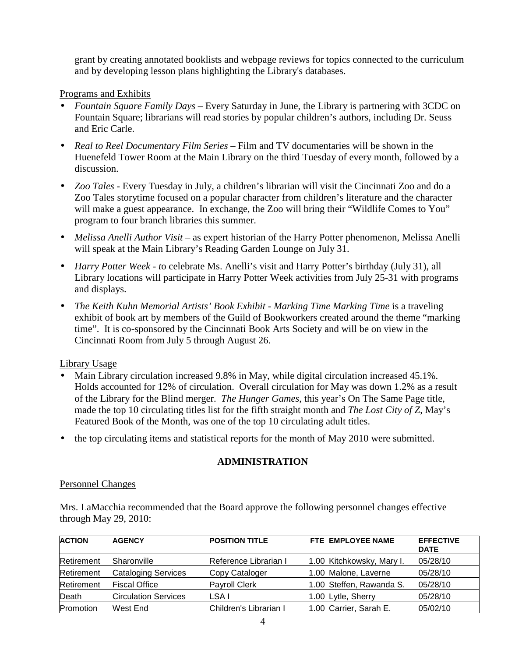grant by creating annotated booklists and webpage reviews for topics connected to the curriculum and by developing lesson plans highlighting the Library's databases.

### Programs and Exhibits

- *Fountain Square Family Days –* Every Saturday in June, the Library is partnering with 3CDC on Fountain Square; librarians will read stories by popular children's authors, including Dr. Seuss and Eric Carle.
- *Real to Reel Documentary Film Series* Film and TV documentaries will be shown in the Huenefeld Tower Room at the Main Library on the third Tuesday of every month, followed by a discussion.
- *Zoo Tales* Every Tuesday in July, a children's librarian will visit the Cincinnati Zoo and do a Zoo Tales storytime focused on a popular character from children's literature and the character will make a guest appearance. In exchange, the Zoo will bring their "Wildlife Comes to You" program to four branch libraries this summer.
- *Melissa Anelli Author Visit* as expert historian of the Harry Potter phenomenon, Melissa Anelli will speak at the Main Library's Reading Garden Lounge on July 31.
- *Harry Potter Week t*o celebrate Ms. Anelli's visit and Harry Potter's birthday (July 31), all Library locations will participate in Harry Potter Week activities from July 25-31 with programs and displays.
- *The Keith Kuhn Memorial Artists' Book Exhibit Marking Time Marking Time is a traveling* exhibit of book art by members of the Guild of Bookworkers created around the theme "marking time". It is co-sponsored by the Cincinnati Book Arts Society and will be on view in the Cincinnati Room from July 5 through August 26.

### Library Usage

- Main Library circulation increased 9.8% in May, while digital circulation increased 45.1%. Holds accounted for 12% of circulation. Overall circulation for May was down 1.2% as a result of the Library for the Blind merger. *The Hunger Games*, this year's On The Same Page title, made the top 10 circulating titles list for the fifth straight month and *The Lost City of Z*, May's Featured Book of the Month, was one of the top 10 circulating adult titles.
- the top circulating items and statistical reports for the month of May 2010 were submitted.

### **ADMINISTRATION**

#### Personnel Changes

Mrs. LaMacchia recommended that the Board approve the following personnel changes effective through May 29, 2010:

| <b>ACTION</b> | <b>AGENCY</b>               | <b>POSITION TITLE</b>  | FTE EMPLOYEE NAME         | <b>EFFECTIVE</b><br><b>DATE</b> |
|---------------|-----------------------------|------------------------|---------------------------|---------------------------------|
| Retirement    | Sharonville                 | Reference Librarian I  | 1.00 Kitchkowsky, Mary I. | 05/28/10                        |
| Retirement    | <b>Cataloging Services</b>  | Copy Cataloger         | 1.00 Malone, Laverne      | 05/28/10                        |
| Retirement    | <b>Fiscal Office</b>        | Payroll Clerk          | 1.00 Steffen, Rawanda S.  | 05/28/10                        |
| Death         | <b>Circulation Services</b> | LSA I                  | 1.00 Lytle, Sherry        | 05/28/10                        |
| Promotion     | West End                    | Children's Librarian I | 1.00 Carrier, Sarah E.    | 05/02/10                        |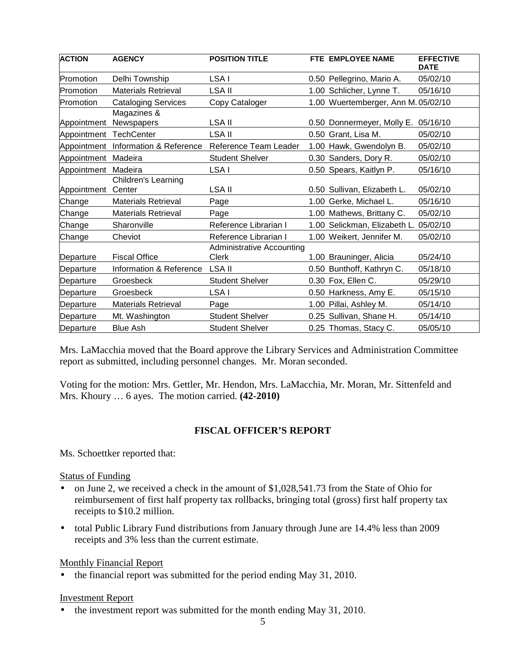| <b>ACTION</b> | <b>AGENCY</b>                        | <b>POSITION TITLE</b>                            | FTE EMPLOYEE NAME                   | <b>EFFECTIVE</b><br><b>DATE</b> |
|---------------|--------------------------------------|--------------------------------------------------|-------------------------------------|---------------------------------|
| Promotion     | Delhi Township                       | LSA I                                            | 0.50 Pellegrino, Mario A.           | 05/02/10                        |
| Promotion     | <b>Materials Retrieval</b>           | <b>LSA II</b>                                    | 1.00 Schlicher, Lynne T.            | 05/16/10                        |
| Promotion     | <b>Cataloging Services</b>           | Copy Cataloger                                   | 1.00 Wuertemberger, Ann M. 05/02/10 |                                 |
| Appointment   | Magazines &<br>Newspapers            | LSA II                                           | 0.50 Donnermeyer, Molly E.          | 05/16/10                        |
| Appointment   | <b>TechCenter</b>                    | <b>LSA II</b>                                    | 0.50 Grant, Lisa M.                 | 05/02/10                        |
| Appointment   | Information & Reference              | Reference Team Leader                            | 1.00 Hawk, Gwendolyn B.             | 05/02/10                        |
| Appointment   | Madeira                              | <b>Student Shelver</b>                           | 0.30 Sanders, Dory R.               | 05/02/10                        |
| Appointment   | Madeira                              | LSA I                                            | 0.50 Spears, Kaitlyn P.             | 05/16/10                        |
| Appointment   | <b>Children's Learning</b><br>Center | <b>LSA II</b>                                    | 0.50 Sullivan, Elizabeth L.         | 05/02/10                        |
| Change        | <b>Materials Retrieval</b>           | Page                                             | 1.00 Gerke, Michael L.              | 05/16/10                        |
| Change        | <b>Materials Retrieval</b>           | Page                                             | 1.00 Mathews, Brittany C.           | 05/02/10                        |
| Change        | Sharonville                          | Reference Librarian I                            | 1.00 Selickman, Elizabeth L.        | 05/02/10                        |
| Change        | Cheviot                              | Reference Librarian I                            | 1.00 Weikert, Jennifer M.           | 05/02/10                        |
| Departure     | <b>Fiscal Office</b>                 | <b>Administrative Accounting</b><br><b>Clerk</b> | 1.00 Brauninger, Alicia             | 05/24/10                        |
| Departure     | Information & Reference              | LSA II                                           | 0.50 Bunthoff, Kathryn C.           | 05/18/10                        |
| Departure     | Groesbeck                            | <b>Student Shelver</b>                           | 0.30 Fox, Ellen C.                  | 05/29/10                        |
| Departure     | Groesbeck                            | LSA I                                            | 0.50 Harkness, Amy E.               | 05/15/10                        |
| Departure     | <b>Materials Retrieval</b>           | Page                                             | 1.00 Pillai, Ashley M.              | 05/14/10                        |
| Departure     | Mt. Washington                       | <b>Student Shelver</b>                           | 0.25 Sullivan, Shane H.             | 05/14/10                        |
| Departure     | <b>Blue Ash</b>                      | <b>Student Shelver</b>                           | 0.25 Thomas, Stacy C.               | 05/05/10                        |

Mrs. LaMacchia moved that the Board approve the Library Services and Administration Committee report as submitted, including personnel changes. Mr. Moran seconded.

Voting for the motion: Mrs. Gettler, Mr. Hendon, Mrs. LaMacchia, Mr. Moran, Mr. Sittenfeld and Mrs. Khoury … 6 ayes. The motion carried. **(42-2010)**

### **FISCAL OFFICER'S REPORT**

Ms. Schoettker reported that:

Status of Funding

- on June 2, we received a check in the amount of \$1,028,541.73 from the State of Ohio for reimbursement of first half property tax rollbacks, bringing total (gross) first half property tax receipts to \$10.2 million.
- total Public Library Fund distributions from January through June are 14.4% less than 2009 receipts and 3% less than the current estimate.

### Monthly Financial Report

• the financial report was submitted for the period ending May 31, 2010.

#### Investment Report

• the investment report was submitted for the month ending May 31, 2010.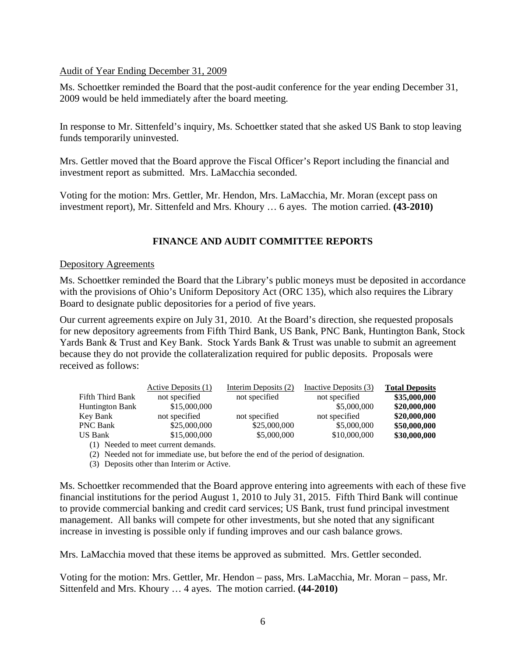### Audit of Year Ending December 31, 2009

Ms. Schoettker reminded the Board that the post-audit conference for the year ending December 31, 2009 would be held immediately after the board meeting.

In response to Mr. Sittenfeld's inquiry, Ms. Schoettker stated that she asked US Bank to stop leaving funds temporarily uninvested.

Mrs. Gettler moved that the Board approve the Fiscal Officer's Report including the financial and investment report as submitted. Mrs. LaMacchia seconded.

Voting for the motion: Mrs. Gettler, Mr. Hendon, Mrs. LaMacchia, Mr. Moran (except pass on investment report), Mr. Sittenfeld and Mrs. Khoury … 6 ayes. The motion carried. **(43-2010)**

### **FINANCE AND AUDIT COMMITTEE REPORTS**

#### Depository Agreements

Ms. Schoettker reminded the Board that the Library's public moneys must be deposited in accordance with the provisions of Ohio's Uniform Depository Act (ORC 135), which also requires the Library Board to designate public depositories for a period of five years.

Our current agreements expire on July 31, 2010. At the Board's direction, she requested proposals for new depository agreements from Fifth Third Bank, US Bank, PNC Bank, Huntington Bank, Stock Yards Bank & Trust and Key Bank. Stock Yards Bank & Trust was unable to submit an agreement because they do not provide the collateralization required for public deposits. Proposals were received as follows:

|                        | Active Deposits (1) | Interim Deposits (2) | Inactive Deposits (3) | <b>Total Deposits</b> |
|------------------------|---------------------|----------------------|-----------------------|-----------------------|
| Fifth Third Bank       | not specified       | not specified        | not specified         | \$35,000,000          |
| <b>Huntington Bank</b> | \$15,000,000        |                      | \$5,000,000           | \$20,000,000          |
| Key Bank               | not specified       | not specified        | not specified         | \$20,000,000          |
| <b>PNC Bank</b>        | \$25,000,000        | \$25,000,000         | \$5,000,000           | \$50,000,000          |
| <b>US Bank</b>         | \$15,000,000        | \$5,000,000          | \$10,000,000          | \$30,000,000          |
|                        |                     |                      |                       |                       |

(1) Needed to meet current demands.

(2) Needed not for immediate use, but before the end of the period of designation.

(3) Deposits other than Interim or Active.

Ms. Schoettker recommended that the Board approve entering into agreements with each of these five financial institutions for the period August 1, 2010 to July 31, 2015. Fifth Third Bank will continue to provide commercial banking and credit card services; US Bank, trust fund principal investment management. All banks will compete for other investments, but she noted that any significant increase in investing is possible only if funding improves and our cash balance grows.

Mrs. LaMacchia moved that these items be approved as submitted. Mrs. Gettler seconded.

Voting for the motion: Mrs. Gettler, Mr. Hendon – pass, Mrs. LaMacchia, Mr. Moran – pass, Mr. Sittenfeld and Mrs. Khoury … 4 ayes. The motion carried. **(44-2010)**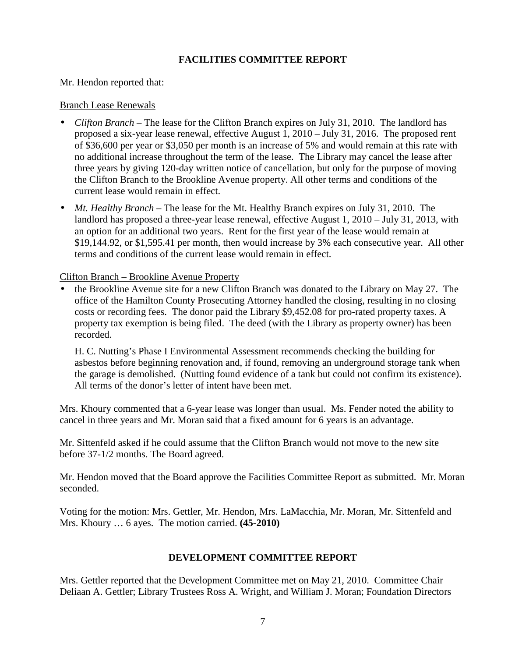### **FACILITIES COMMITTEE REPORT**

Mr. Hendon reported that:

#### Branch Lease Renewals

- *Clifton Branch* The lease for the Clifton Branch expires on July 31, 2010. The landlord has proposed a six-year lease renewal, effective August 1, 2010 – July 31, 2016. The proposed rent of \$36,600 per year or \$3,050 per month is an increase of 5% and would remain at this rate with no additional increase throughout the term of the lease. The Library may cancel the lease after three years by giving 120-day written notice of cancellation, but only for the purpose of moving the Clifton Branch to the Brookline Avenue property. All other terms and conditions of the current lease would remain in effect.
- *Mt. Healthy Branch* The lease for the Mt. Healthy Branch expires on July 31, 2010. The landlord has proposed a three-year lease renewal, effective August 1, 2010 – July 31, 2013, with an option for an additional two years. Rent for the first year of the lease would remain at \$19,144.92, or \$1,595.41 per month, then would increase by 3% each consecutive year. All other terms and conditions of the current lease would remain in effect.

Clifton Branch – Brookline Avenue Property

• the Brookline Avenue site for a new Clifton Branch was donated to the Library on May 27. The office of the Hamilton County Prosecuting Attorney handled the closing, resulting in no closing costs or recording fees. The donor paid the Library \$9,452.08 for pro-rated property taxes. A property tax exemption is being filed. The deed (with the Library as property owner) has been recorded.

H. C. Nutting's Phase I Environmental Assessment recommends checking the building for asbestos before beginning renovation and, if found, removing an underground storage tank when the garage is demolished. (Nutting found evidence of a tank but could not confirm its existence). All terms of the donor's letter of intent have been met.

Mrs. Khoury commented that a 6-year lease was longer than usual. Ms. Fender noted the ability to cancel in three years and Mr. Moran said that a fixed amount for 6 years is an advantage.

Mr. Sittenfeld asked if he could assume that the Clifton Branch would not move to the new site before 37-1/2 months. The Board agreed.

Mr. Hendon moved that the Board approve the Facilities Committee Report as submitted. Mr. Moran seconded.

Voting for the motion: Mrs. Gettler, Mr. Hendon, Mrs. LaMacchia, Mr. Moran, Mr. Sittenfeld and Mrs. Khoury … 6 ayes. The motion carried. **(45-2010)** 

### **DEVELOPMENT COMMITTEE REPORT**

Mrs. Gettler reported that the Development Committee met on May 21, 2010. Committee Chair Deliaan A. Gettler; Library Trustees Ross A. Wright, and William J. Moran; Foundation Directors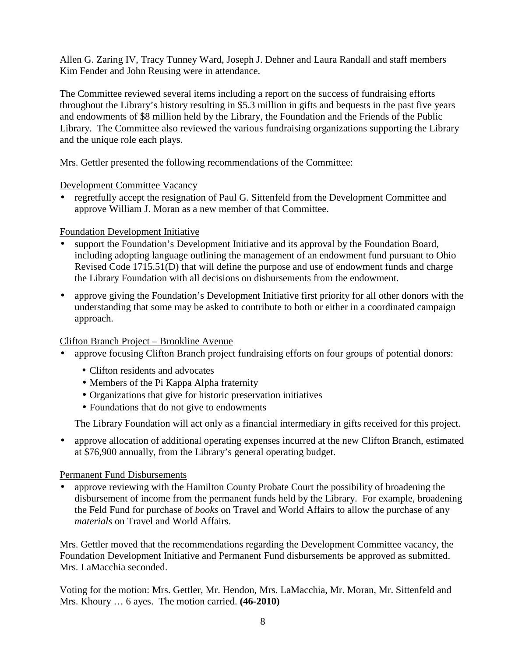Allen G. Zaring IV, Tracy Tunney Ward, Joseph J. Dehner and Laura Randall and staff members Kim Fender and John Reusing were in attendance.

The Committee reviewed several items including a report on the success of fundraising efforts throughout the Library's history resulting in \$5.3 million in gifts and bequests in the past five years and endowments of \$8 million held by the Library, the Foundation and the Friends of the Public Library. The Committee also reviewed the various fundraising organizations supporting the Library and the unique role each plays.

Mrs. Gettler presented the following recommendations of the Committee:

Development Committee Vacancy

• regretfully accept the resignation of Paul G. Sittenfeld from the Development Committee and approve William J. Moran as a new member of that Committee.

## Foundation Development Initiative

- support the Foundation's Development Initiative and its approval by the Foundation Board, including adopting language outlining the management of an endowment fund pursuant to Ohio Revised Code 1715.51(D) that will define the purpose and use of endowment funds and charge the Library Foundation with all decisions on disbursements from the endowment.
- approve giving the Foundation's Development Initiative first priority for all other donors with the understanding that some may be asked to contribute to both or either in a coordinated campaign approach.

## Clifton Branch Project – Brookline Avenue

- approve focusing Clifton Branch project fundraising efforts on four groups of potential donors:
	- Clifton residents and advocates
	- Members of the Pi Kappa Alpha fraternity
	- Organizations that give for historic preservation initiatives
	- Foundations that do not give to endowments

The Library Foundation will act only as a financial intermediary in gifts received for this project.

• approve allocation of additional operating expenses incurred at the new Clifton Branch, estimated at \$76,900 annually, from the Library's general operating budget.

### Permanent Fund Disbursements

• approve reviewing with the Hamilton County Probate Court the possibility of broadening the disbursement of income from the permanent funds held by the Library. For example, broadening the Feld Fund for purchase of *books* on Travel and World Affairs to allow the purchase of any *materials* on Travel and World Affairs.

Mrs. Gettler moved that the recommendations regarding the Development Committee vacancy, the Foundation Development Initiative and Permanent Fund disbursements be approved as submitted. Mrs. LaMacchia seconded.

Voting for the motion: Mrs. Gettler, Mr. Hendon, Mrs. LaMacchia, Mr. Moran, Mr. Sittenfeld and Mrs. Khoury … 6 ayes. The motion carried. **(46-2010)**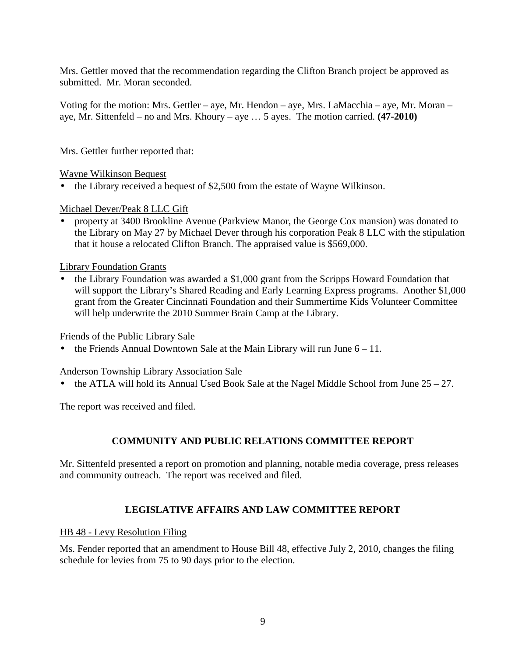Mrs. Gettler moved that the recommendation regarding the Clifton Branch project be approved as submitted. Mr. Moran seconded.

Voting for the motion: Mrs. Gettler – aye, Mr. Hendon – aye, Mrs. LaMacchia – aye, Mr. Moran – aye, Mr. Sittenfeld – no and Mrs. Khoury – aye … 5 ayes. The motion carried. **(47-2010)** 

Mrs. Gettler further reported that:

Wayne Wilkinson Bequest

• the Library received a bequest of \$2,500 from the estate of Wayne Wilkinson.

Michael Dever/Peak 8 LLC Gift

• property at 3400 Brookline Avenue (Parkview Manor, the George Cox mansion) was donated to the Library on May 27 by Michael Dever through his corporation Peak 8 LLC with the stipulation that it house a relocated Clifton Branch. The appraised value is \$569,000.

Library Foundation Grants

• the Library Foundation was awarded a \$1,000 grant from the Scripps Howard Foundation that will support the Library's Shared Reading and Early Learning Express programs. Another \$1,000 grant from the Greater Cincinnati Foundation and their Summertime Kids Volunteer Committee will help underwrite the 2010 Summer Brain Camp at the Library.

#### Friends of the Public Library Sale

the Friends Annual Downtown Sale at the Main Library will run June  $6 - 11$ .

#### Anderson Township Library Association Sale

the ATLA will hold its Annual Used Book Sale at the Nagel Middle School from June  $25 - 27$ .

The report was received and filed.

### **COMMUNITY AND PUBLIC RELATIONS COMMITTEE REPORT**

Mr. Sittenfeld presented a report on promotion and planning, notable media coverage, press releases and community outreach. The report was received and filed.

### **LEGISLATIVE AFFAIRS AND LAW COMMITTEE REPORT**

#### HB 48 - Levy Resolution Filing

Ms. Fender reported that an amendment to House Bill 48, effective July 2, 2010, changes the filing schedule for levies from 75 to 90 days prior to the election.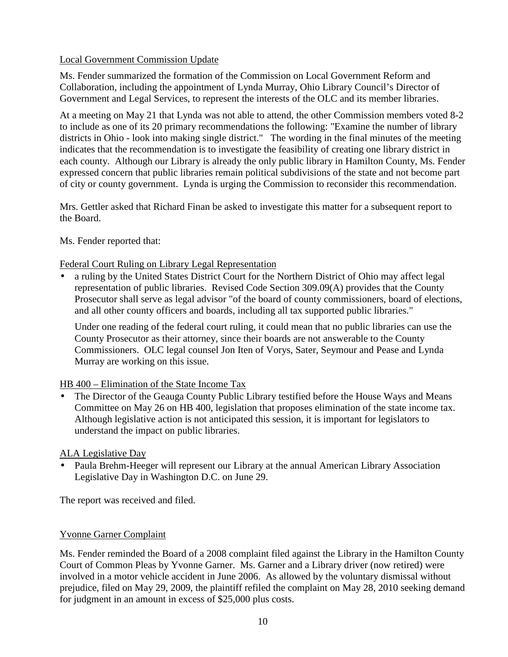### Local Government Commission Update

Ms. Fender summarized the formation of the Commission on Local Government Reform and Collaboration, including the appointment of Lynda Murray, Ohio Library Council's Director of Government and Legal Services, to represent the interests of the OLC and its member libraries.

At a meeting on May 21 that Lynda was not able to attend, the other Commission members voted 8-2 to include as one of its 20 primary recommendations the following: "Examine the number of library districts in Ohio - look into making single district." The wording in the final minutes of the meeting indicates that the recommendation is to investigate the feasibility of creating one library district in each county. Although our Library is already the only public library in Hamilton County, Ms. Fender expressed concern that public libraries remain political subdivisions of the state and not become part of city or county government. Lynda is urging the Commission to reconsider this recommendation.

Mrs. Gettler asked that Richard Finan be asked to investigate this matter for a subsequent report to the Board.

Ms. Fender reported that:

## Federal Court Ruling on Library Legal Representation

• a ruling by the United States District Court for the Northern District of Ohio may affect legal representation of public libraries. Revised Code Section 309.09(A) provides that the County Prosecutor shall serve as legal advisor "of the board of county commissioners, board of elections, and all other county officers and boards, including all tax supported public libraries."

Under one reading of the federal court ruling, it could mean that no public libraries can use the County Prosecutor as their attorney, since their boards are not answerable to the County Commissioners. OLC legal counsel Jon Iten of Vorys, Sater, Seymour and Pease and Lynda Murray are working on this issue.

### HB 400 – Elimination of the State Income Tax

• The Director of the Geauga County Public Library testified before the House Ways and Means Committee on May 26 on HB 400, legislation that proposes elimination of the state income tax. Although legislative action is not anticipated this session, it is important for legislators to understand the impact on public libraries.

### ALA Legislative Day

• Paula Brehm-Heeger will represent our Library at the annual American Library Association Legislative Day in Washington D.C. on June 29.

The report was received and filed.

## Yvonne Garner Complaint

Ms. Fender reminded the Board of a 2008 complaint filed against the Library in the Hamilton County Court of Common Pleas by Yvonne Garner. Ms. Garner and a Library driver (now retired) were involved in a motor vehicle accident in June 2006. As allowed by the voluntary dismissal without prejudice, filed on May 29, 2009, the plaintiff refiled the complaint on May 28, 2010 seeking demand for judgment in an amount in excess of \$25,000 plus costs.